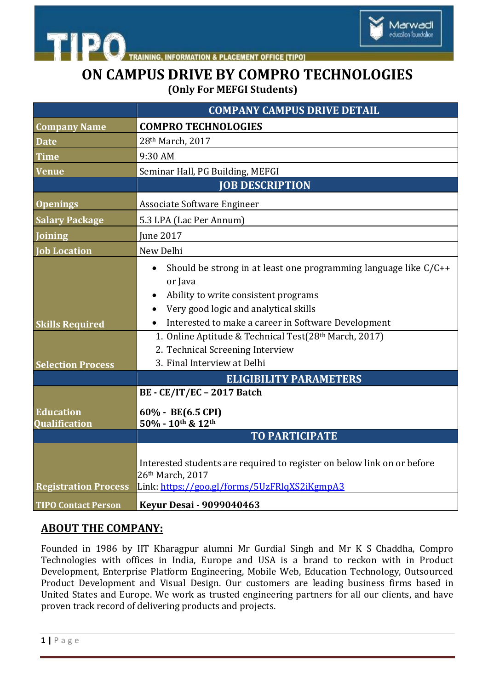

**INFORMATION & PLACEMENT OFFICE [TIPO]** 

## **ON CAMPUS DRIVE BY COMPRO TECHNOLOGIES (Only For MEFGI Students)**

Marwadi education foundation

|                                          | <b>COMPANY CAMPUS DRIVE DETAIL</b>                                                                                                                                                                                                 |
|------------------------------------------|------------------------------------------------------------------------------------------------------------------------------------------------------------------------------------------------------------------------------------|
| <b>Company Name</b>                      | <b>COMPRO TECHNOLOGIES</b>                                                                                                                                                                                                         |
| <b>Date</b>                              | 28th March, 2017                                                                                                                                                                                                                   |
| <b>Time</b>                              | 9:30 AM                                                                                                                                                                                                                            |
| <b>Venue</b>                             | Seminar Hall, PG Building, MEFGI                                                                                                                                                                                                   |
|                                          | <b>JOB DESCRIPTION</b>                                                                                                                                                                                                             |
| <b>Openings</b>                          | Associate Software Engineer                                                                                                                                                                                                        |
| <b>Salary Package</b>                    | 5.3 LPA (Lac Per Annum)                                                                                                                                                                                                            |
| <b>Joining</b>                           | <b>Iune 2017</b>                                                                                                                                                                                                                   |
| <b>Job Location</b>                      | New Delhi                                                                                                                                                                                                                          |
| <b>Skills Required</b>                   | Should be strong in at least one programming language like $C/C++$<br>$\bullet$<br>or Java<br>Ability to write consistent programs<br>Very good logic and analytical skills<br>Interested to make a career in Software Development |
|                                          | 1. Online Aptitude & Technical Test(28th March, 2017)                                                                                                                                                                              |
|                                          | 2. Technical Screening Interview                                                                                                                                                                                                   |
| <b>Selection Process</b>                 | 3. Final Interview at Delhi                                                                                                                                                                                                        |
|                                          | <b>ELIGIBILITY PARAMETERS</b>                                                                                                                                                                                                      |
|                                          | BE - CE/IT/EC - 2017 Batch                                                                                                                                                                                                         |
| <b>Education</b><br><b>Qualification</b> | 60% - BE(6.5 CPI)<br>50% - 10th & 12th                                                                                                                                                                                             |
|                                          | <b>TO PARTICIPATE</b>                                                                                                                                                                                                              |
|                                          |                                                                                                                                                                                                                                    |
| <b>Registration Process</b>              | Interested students are required to register on below link on or before<br>26th March, 2017<br>Link: https://goo.gl/forms/5UzFRlqXS2iKgmpA3                                                                                        |
| <b>TIPO Contact Person</b>               | <b>Keyur Desai - 9099040463</b>                                                                                                                                                                                                    |

## **ABOUT THE COMPANY:**

Founded in 1986 by IIT Kharagpur alumni Mr Gurdial Singh and Mr K S Chaddha, Compro Technologies with offices in India, Europe and USA is a brand to reckon with in Product Development, Enterprise Platform Engineering, Mobile Web, Education Technology, Outsourced Product Development and Visual Design. Our customers are leading business firms based in United States and Europe. We work as trusted engineering partners for all our clients, and have proven track record of delivering products and projects.